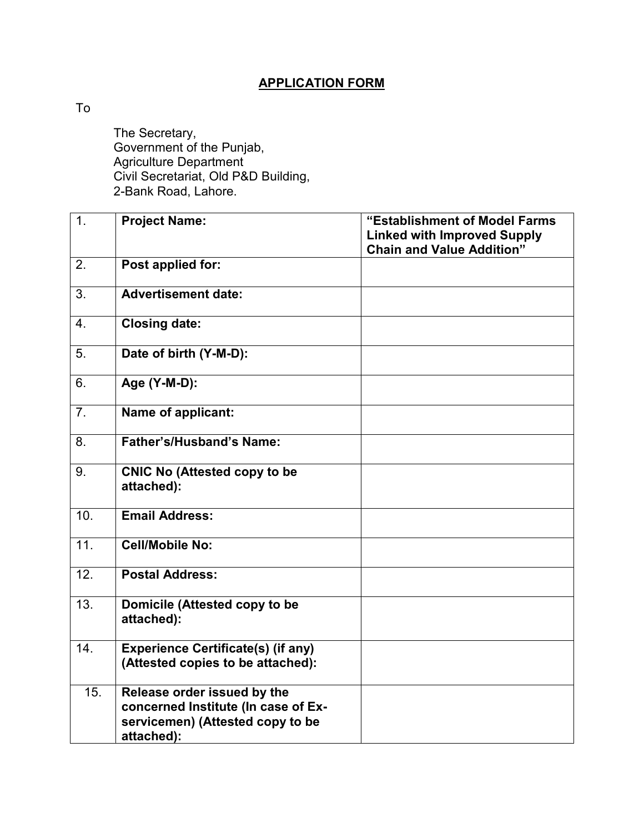## **APPLICATION FORM**

To

 The Secretary, Government of the Punjab, Agriculture Department Civil Secretariat, Old P&D Building, 2-Bank Road, Lahore.

| 1.                | <b>Project Name:</b>                                                                                                 | "Establishment of Model Farms<br><b>Linked with Improved Supply</b><br><b>Chain and Value Addition"</b> |
|-------------------|----------------------------------------------------------------------------------------------------------------------|---------------------------------------------------------------------------------------------------------|
| 2.                | Post applied for:                                                                                                    |                                                                                                         |
| 3 <sub>1</sub>    | <b>Advertisement date:</b>                                                                                           |                                                                                                         |
| $\overline{4}$ .  | <b>Closing date:</b>                                                                                                 |                                                                                                         |
| 5.                | Date of birth (Y-M-D):                                                                                               |                                                                                                         |
| 6.                | Age (Y-M-D):                                                                                                         |                                                                                                         |
| 7.                | Name of applicant:                                                                                                   |                                                                                                         |
| 8.                | Father's/Husband's Name:                                                                                             |                                                                                                         |
| 9.                | <b>CNIC No (Attested copy to be</b><br>attached):                                                                    |                                                                                                         |
| 10.               | <b>Email Address:</b>                                                                                                |                                                                                                         |
| 11.               | <b>Cell/Mobile No:</b>                                                                                               |                                                                                                         |
| 12.               | <b>Postal Address:</b>                                                                                               |                                                                                                         |
| 13.               | Domicile (Attested copy to be<br>attached):                                                                          |                                                                                                         |
| $\overline{14}$ . | <b>Experience Certificate(s) (if any)</b><br>(Attested copies to be attached):                                       |                                                                                                         |
| 15.               | Release order issued by the<br>concerned Institute (In case of Ex-<br>servicemen) (Attested copy to be<br>attached): |                                                                                                         |